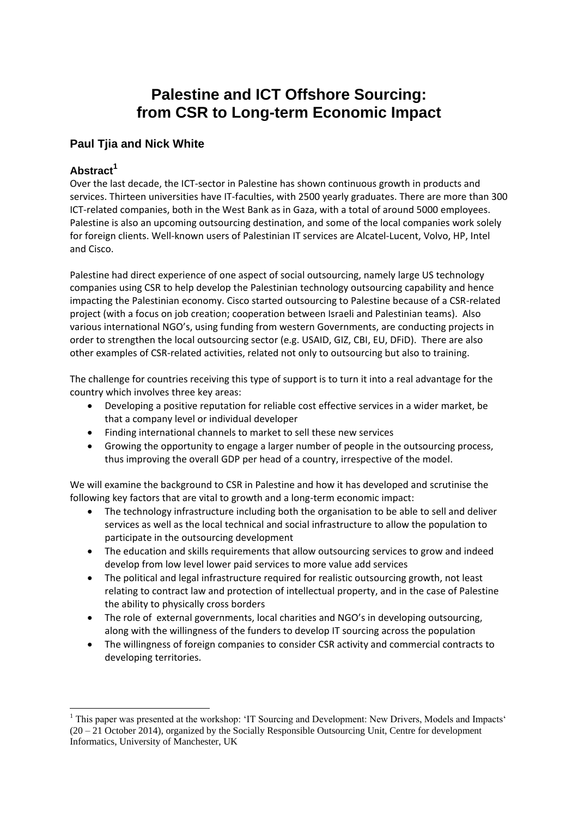# **Palestine and ICT Offshore Sourcing: from CSR to Long-term Economic Impact**

### **Paul Tjia and Nick White**

#### **Abstract<sup>1</sup>**

**.** 

Over the last decade, the ICT‐sector in Palestine has shown continuous growth in products and services. Thirteen universities have IT-faculties, with 2500 yearly graduates. There are more than 300 ICT-related companies, both in the West Bank as in Gaza, with a total of around 5000 employees. Palestine is also an upcoming outsourcing destination, and some of the local companies work solely for foreign clients. Well‐known users of Palestinian IT services are Alcatel‐Lucent, Volvo, HP, Intel and Cisco.

Palestine had direct experience of one aspect of social outsourcing, namely large US technology companies using CSR to help develop the Palestinian technology outsourcing capability and hence impacting the Palestinian economy. Cisco started outsourcing to Palestine because of a CSR-related project (with a focus on job creation; cooperation between Israeli and Palestinian teams). Also various international NGO's, using funding from western Governments, are conducting projects in order to strengthen the local outsourcing sector (e.g. USAID, GIZ, CBI, EU, DFiD). There are also other examples of CSR-related activities, related not only to outsourcing but also to training.

The challenge for countries receiving this type of support is to turn it into a real advantage for the country which involves three key areas:

- Developing a positive reputation for reliable cost effective services in a wider market, be that a company level or individual developer
- Finding international channels to market to sell these new services
- Growing the opportunity to engage a larger number of people in the outsourcing process, thus improving the overall GDP per head of a country, irrespective of the model.

We will examine the background to CSR in Palestine and how it has developed and scrutinise the following key factors that are vital to growth and a long-term economic impact:

- The technology infrastructure including both the organisation to be able to sell and deliver services as well as the local technical and social infrastructure to allow the population to participate in the outsourcing development
- The education and skills requirements that allow outsourcing services to grow and indeed develop from low level lower paid services to more value add services
- The political and legal infrastructure required for realistic outsourcing growth, not least relating to contract law and protection of intellectual property, and in the case of Palestine the ability to physically cross borders
- The role of external governments, local charities and NGO's in developing outsourcing, along with the willingness of the funders to develop IT sourcing across the population
- The willingness of foreign companies to consider CSR activity and commercial contracts to developing territories.

 $1$  This paper was presented at the workshop: 'IT Sourcing and Development: New Drivers, Models and Impacts' (20 – 21 October 2014), organized by the Socially Responsible Outsourcing Unit, Centre for development Informatics, University of Manchester, UK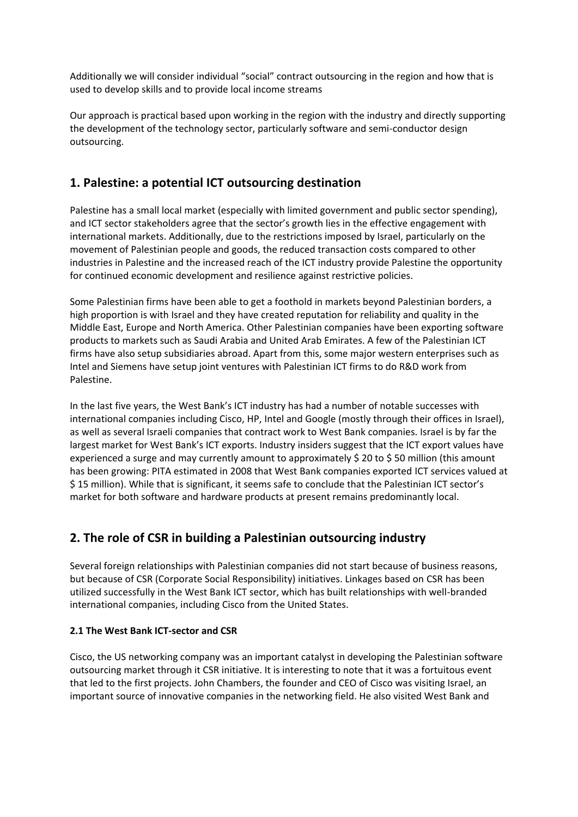Additionally we will consider individual "social" contract outsourcing in the region and how that is used to develop skills and to provide local income streams

Our approach is practical based upon working in the region with the industry and directly supporting the development of the technology sector, particularly software and semi-conductor design outsourcing.

## **1. Palestine: a potential ICT outsourcing destination**

Palestine has a small local market (especially with limited government and public sector spending), and ICT sector stakeholders agree that the sector's growth lies in the effective engagement with international markets. Additionally, due to the restrictions imposed by Israel, particularly on the movement of Palestinian people and goods, the reduced transaction costs compared to other industries in Palestine and the increased reach of the ICT industry provide Palestine the opportunity for continued economic development and resilience against restrictive policies.

Some Palestinian firms have been able to get a foothold in markets beyond Palestinian borders, a high proportion is with Israel and they have created reputation for reliability and quality in the Middle East, Europe and North America. Other Palestinian companies have been exporting software products to markets such as Saudi Arabia and United Arab Emirates. A few of the Palestinian ICT firms have also setup subsidiaries abroad. Apart from this, some major western enterprises such as Intel and Siemens have setup joint ventures with Palestinian ICT firms to do R&D work from Palestine.

In the last five years, the West Bank's ICT industry has had a number of notable successes with international companies including Cisco, HP, Intel and Google (mostly through their offices in Israel), as well as several Israeli companies that contract work to West Bank companies. Israel is by far the largest market for West Bank's ICT exports. Industry insiders suggest that the ICT export values have experienced a surge and may currently amount to approximately \$ 20 to \$ 50 million (this amount has been growing: PITA estimated in 2008 that West Bank companies exported ICT services valued at \$ 15 million). While that is significant, it seems safe to conclude that the Palestinian ICT sector's market for both software and hardware products at present remains predominantly local.

## **2. The role of CSR in building a Palestinian outsourcing industry**

Several foreign relationships with Palestinian companies did not start because of business reasons, but because of CSR (Corporate Social Responsibility) initiatives. Linkages based on CSR has been utilized successfully in the West Bank ICT sector, which has built relationships with well-branded international companies, including Cisco from the United States.

#### **2.1 The West Bank ICT-sector and CSR**

Cisco, the US networking company was an important catalyst in developing the Palestinian software outsourcing market through it CSR initiative. It is interesting to note that it was a fortuitous event that led to the first projects. John Chambers, the founder and CEO of Cisco was visiting Israel, an important source of innovative companies in the networking field. He also visited West Bank and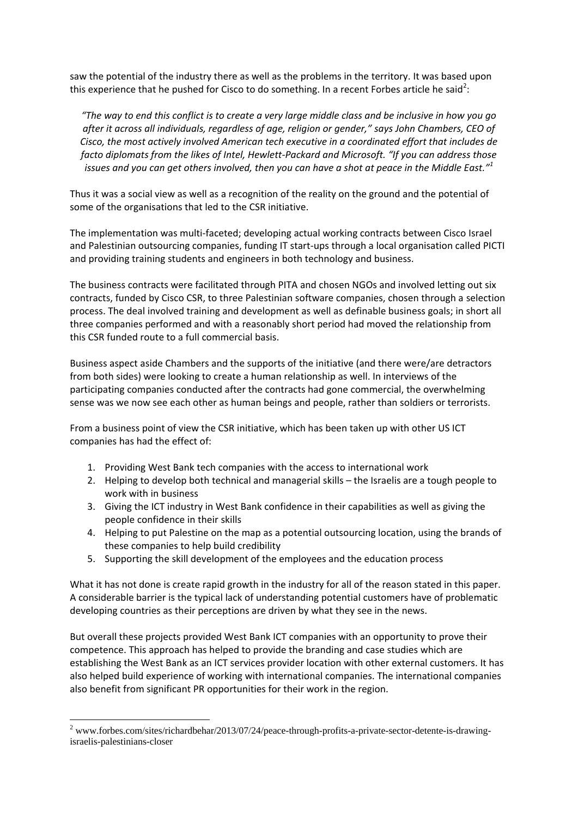saw the potential of the industry there as well as the problems in the territory. It was based upon this experience that he pushed for Cisco to do something. In a recent Forbes article he said<sup>2</sup>:

*"The way to end this conflict is to create a very large middle class and be inclusive in how you go after it across all individuals, regardless of age, religion or gender," says John Chambers, CEO of Cisco, the most actively involved American tech executive in a coordinated effort that includes de facto diplomats from the likes of Intel, Hewlett-Packard and Microsoft. "If you can address those issues and you can get others involved, then you can have a shot at peace in the Middle East."<sup>1</sup>*

Thus it was a social view as well as a recognition of the reality on the ground and the potential of some of the organisations that led to the CSR initiative.

The implementation was multi-faceted; developing actual working contracts between Cisco Israel and Palestinian outsourcing companies, funding IT start-ups through a local organisation called PICTI and providing training students and engineers in both technology and business.

The business contracts were facilitated through PITA and chosen NGOs and involved letting out six contracts, funded by Cisco CSR, to three Palestinian software companies, chosen through a selection process. The deal involved training and development as well as definable business goals; in short all three companies performed and with a reasonably short period had moved the relationship from this CSR funded route to a full commercial basis.

Business aspect aside Chambers and the supports of the initiative (and there were/are detractors from both sides) were looking to create a human relationship as well. In interviews of the participating companies conducted after the contracts had gone commercial, the overwhelming sense was we now see each other as human beings and people, rather than soldiers or terrorists.

From a business point of view the CSR initiative, which has been taken up with other US ICT companies has had the effect of:

- 1. Providing West Bank tech companies with the access to international work
- 2. Helping to develop both technical and managerial skills the Israelis are a tough people to work with in business
- 3. Giving the ICT industry in West Bank confidence in their capabilities as well as giving the people confidence in their skills
- 4. Helping to put Palestine on the map as a potential outsourcing location, using the brands of these companies to help build credibility
- 5. Supporting the skill development of the employees and the education process

What it has not done is create rapid growth in the industry for all of the reason stated in this paper. A considerable barrier is the typical lack of understanding potential customers have of problematic developing countries as their perceptions are driven by what they see in the news.

But overall these projects provided West Bank ICT companies with an opportunity to prove their competence. This approach has helped to provide the branding and case studies which are establishing the West Bank as an ICT services provider location with other external customers. It has also helped build experience of working with international companies. The international companies also benefit from significant PR opportunities for their work in the region.

1

<sup>2</sup> www.forbes.com/sites/richardbehar/2013/07/24/peace-through-profits-a-private-sector-detente-is-drawingisraelis-palestinians-closer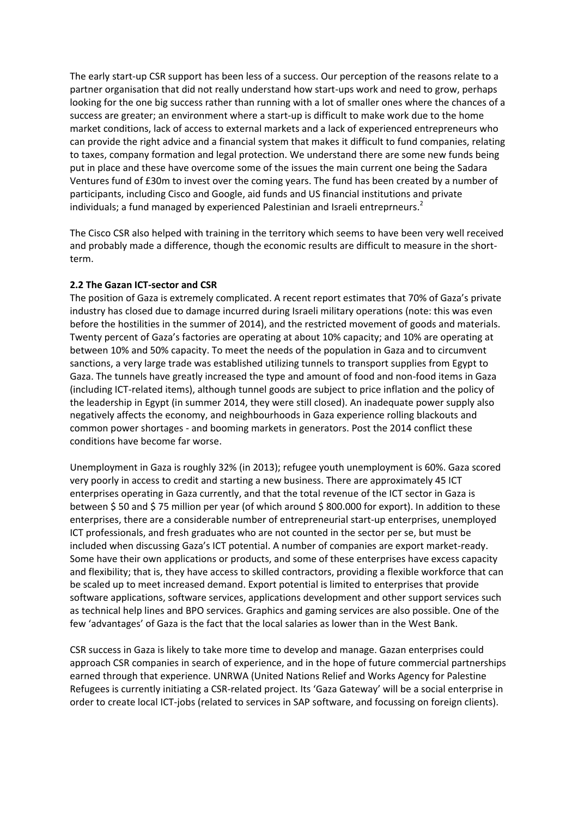The early start-up CSR support has been less of a success. Our perception of the reasons relate to a partner organisation that did not really understand how start-ups work and need to grow, perhaps looking for the one big success rather than running with a lot of smaller ones where the chances of a success are greater; an environment where a start-up is difficult to make work due to the home market conditions, lack of access to external markets and a lack of experienced entrepreneurs who can provide the right advice and a financial system that makes it difficult to fund companies, relating to taxes, company formation and legal protection. We understand there are some new funds being put in place and these have overcome some of the issues the main current one being the Sadara Ventures fund of £30m to invest over the coming years. The fund has been created by a number of participants, including Cisco and Google, aid funds and US financial institutions and private individuals; a fund managed by experienced Palestinian and Israeli entreprneurs.<sup>2</sup>

The Cisco CSR also helped with training in the territory which seems to have been very well received and probably made a difference, though the economic results are difficult to measure in the shortterm.

#### **2.2 The Gazan ICT-sector and CSR**

The position of Gaza is extremely complicated. A recent report estimates that 70% of Gaza's private industry has closed due to damage incurred during Israeli military operations (note: this was even before the hostilities in the summer of 2014), and the restricted movement of goods and materials. Twenty percent of Gaza's factories are operating at about 10% capacity; and 10% are operating at between 10% and 50% capacity. To meet the needs of the population in Gaza and to circumvent sanctions, a very large trade was established utilizing tunnels to transport supplies from Egypt to Gaza. The tunnels have greatly increased the type and amount of food and non-food items in Gaza (including ICT-related items), although tunnel goods are subject to price inflation and the policy of the leadership in Egypt (in summer 2014, they were still closed). An inadequate power supply also negatively affects the economy, and neighbourhoods in Gaza experience rolling blackouts and common power shortages - and booming markets in generators. Post the 2014 conflict these conditions have become far worse.

Unemployment in Gaza is roughly 32% (in 2013); refugee youth unemployment is 60%. Gaza scored very poorly in access to credit and starting a new business. There are approximately 45 ICT enterprises operating in Gaza currently, and that the total revenue of the ICT sector in Gaza is between \$ 50 and \$ 75 million per year (of which around \$ 800.000 for export). In addition to these enterprises, there are a considerable number of entrepreneurial start-up enterprises, unemployed ICT professionals, and fresh graduates who are not counted in the sector per se, but must be included when discussing Gaza's ICT potential. A number of companies are export market-ready. Some have their own applications or products, and some of these enterprises have excess capacity and flexibility; that is, they have access to skilled contractors, providing a flexible workforce that can be scaled up to meet increased demand. Export potential is limited to enterprises that provide software applications, software services, applications development and other support services such as technical help lines and BPO services. Graphics and gaming services are also possible. One of the few 'advantages' of Gaza is the fact that the local salaries as lower than in the West Bank.

CSR success in Gaza is likely to take more time to develop and manage. Gazan enterprises could approach CSR companies in search of experience, and in the hope of future commercial partnerships earned through that experience. UNRWA (United Nations Relief and Works Agency for Palestine Refugees is currently initiating a CSR-related project. Its 'Gaza Gateway' will be a social enterprise in order to create local ICT-jobs (related to services in SAP software, and focussing on foreign clients).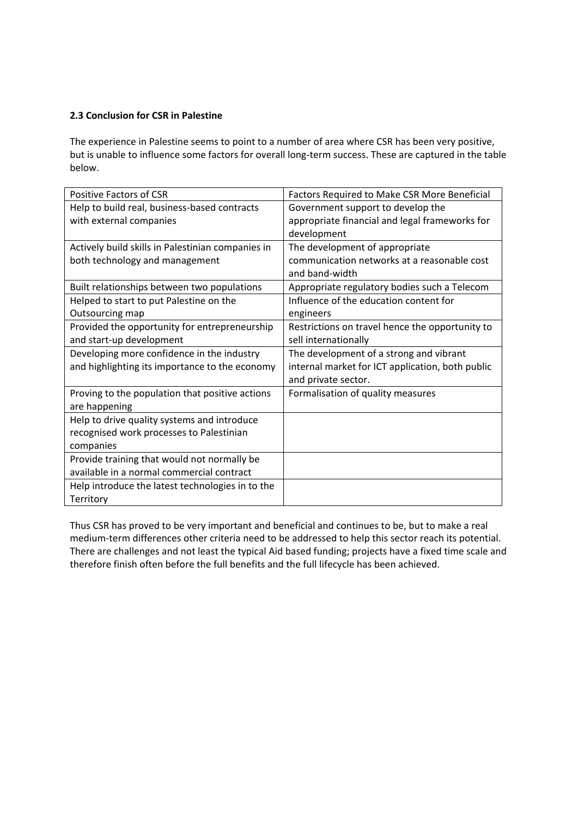#### **2.3 Conclusion for CSR in Palestine**

The experience in Palestine seems to point to a number of area where CSR has been very positive, but is unable to influence some factors for overall long-term success. These are captured in the table below.

| Positive Factors of CSR                           | Factors Required to Make CSR More Beneficial     |
|---------------------------------------------------|--------------------------------------------------|
| Help to build real, business-based contracts      | Government support to develop the                |
| with external companies                           | appropriate financial and legal frameworks for   |
|                                                   | development                                      |
| Actively build skills in Palestinian companies in | The development of appropriate                   |
| both technology and management                    | communication networks at a reasonable cost      |
|                                                   | and band-width                                   |
| Built relationships between two populations       | Appropriate regulatory bodies such a Telecom     |
| Helped to start to put Palestine on the           | Influence of the education content for           |
| Outsourcing map                                   | engineers                                        |
| Provided the opportunity for entrepreneurship     | Restrictions on travel hence the opportunity to  |
| and start-up development                          | sell internationally                             |
| Developing more confidence in the industry        | The development of a strong and vibrant          |
| and highlighting its importance to the economy    | internal market for ICT application, both public |
|                                                   | and private sector.                              |
|                                                   |                                                  |
| Proving to the population that positive actions   | Formalisation of quality measures                |
| are happening                                     |                                                  |
| Help to drive quality systems and introduce       |                                                  |
| recognised work processes to Palestinian          |                                                  |
| companies                                         |                                                  |
| Provide training that would not normally be       |                                                  |
| available in a normal commercial contract         |                                                  |
| Help introduce the latest technologies in to the  |                                                  |

Thus CSR has proved to be very important and beneficial and continues to be, but to make a real medium-term differences other criteria need to be addressed to help this sector reach its potential. There are challenges and not least the typical Aid based funding; projects have a fixed time scale and therefore finish often before the full benefits and the full lifecycle has been achieved.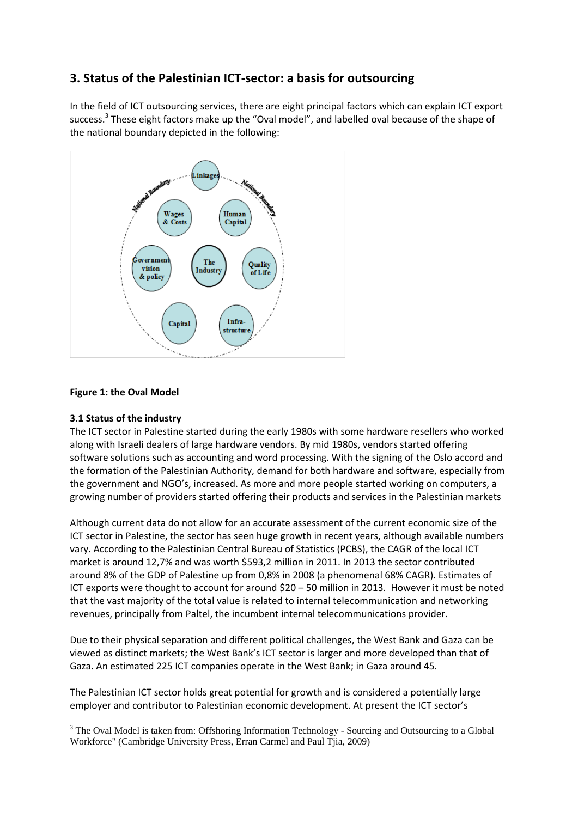# **3. Status of the Palestinian ICT-sector: a basis for outsourcing**

In the field of ICT outsourcing services, there are eight principal factors which can explain ICT export success.<sup>3</sup> These eight factors make up the "Oval model", and labelled oval because of the shape of the national boundary depicted in the following:



#### **Figure 1: the Oval Model**

#### **3.1 Status of the industry**

1

The ICT sector in Palestine started during the early 1980s with some hardware resellers who worked along with Israeli dealers of large hardware vendors. By mid 1980s, vendors started offering software solutions such as accounting and word processing. With the signing of the Oslo accord and the formation of the Palestinian Authority, demand for both hardware and software, especially from the government and NGO's, increased. As more and more people started working on computers, a growing number of providers started offering their products and services in the Palestinian markets

Although current data do not allow for an accurate assessment of the current economic size of the ICT sector in Palestine, the sector has seen huge growth in recent years, although available numbers vary. According to the Palestinian Central Bureau of Statistics (PCBS), the CAGR of the local ICT market is around 12,7% and was worth \$593,2 million in 2011. In 2013 the sector contributed around 8% of the GDP of Palestine up from 0,8% in 2008 (a phenomenal 68% CAGR). Estimates of ICT exports were thought to account for around \$20 – 50 million in 2013. However it must be noted that the vast majority of the total value is related to internal telecommunication and networking revenues, principally from Paltel, the incumbent internal telecommunications provider.

Due to their physical separation and different political challenges, the West Bank and Gaza can be viewed as distinct markets; the West Bank's ICT sector is larger and more developed than that of Gaza. An estimated 225 ICT companies operate in the West Bank; in Gaza around 45.

The Palestinian ICT sector holds great potential for growth and is considered a potentially large employer and contributor to Palestinian economic development. At present the ICT sector's

<sup>&</sup>lt;sup>3</sup> The Oval Model is taken from: Offshoring Information Technology - Sourcing and Outsourcing to a Global Workforce" (Cambridge University Press, Erran Carmel and Paul Tjia, 2009)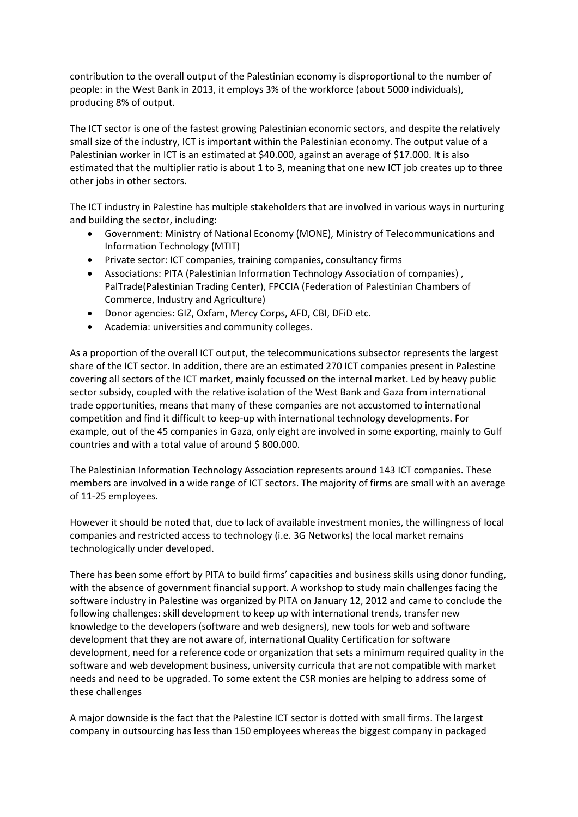contribution to the overall output of the Palestinian economy is disproportional to the number of people: in the West Bank in 2013, it employs 3% of the workforce (about 5000 individuals), producing 8% of output.

The ICT sector is one of the fastest growing Palestinian economic sectors, and despite the relatively small size of the industry, ICT is important within the Palestinian economy. The output value of a Palestinian worker in ICT is an estimated at \$40.000, against an average of \$17.000. It is also estimated that the multiplier ratio is about 1 to 3, meaning that one new ICT job creates up to three other jobs in other sectors.

The ICT industry in Palestine has multiple stakeholders that are involved in various ways in nurturing and building the sector, including:

- Government: Ministry of National Economy (MONE), Ministry of Telecommunications and Information Technology (MTIT)
- Private sector: ICT companies, training companies, consultancy firms
- Associations: PITA (Palestinian Information Technology Association of companies) , PalTrade(Palestinian Trading Center), FPCCIA (Federation of Palestinian Chambers of Commerce, Industry and Agriculture)
- Donor agencies: GIZ, Oxfam, Mercy Corps, AFD, CBI, DFiD etc.
- Academia: universities and community colleges.

As a proportion of the overall ICT output, the telecommunications subsector represents the largest share of the ICT sector. In addition, there are an estimated 270 ICT companies present in Palestine covering all sectors of the ICT market, mainly focussed on the internal market. Led by heavy public sector subsidy, coupled with the relative isolation of the West Bank and Gaza from international trade opportunities, means that many of these companies are not accustomed to international competition and find it difficult to keep-up with international technology developments. For example, out of the 45 companies in Gaza, only eight are involved in some exporting, mainly to Gulf countries and with a total value of around \$ 800.000.

The Palestinian Information Technology Association represents around 143 ICT companies. These members are involved in a wide range of ICT sectors. The majority of firms are small with an average of 11-25 employees.

However it should be noted that, due to lack of available investment monies, the willingness of local companies and restricted access to technology (i.e. 3G Networks) the local market remains technologically under developed.

There has been some effort by PITA to build firms' capacities and business skills using donor funding, with the absence of government financial support. A workshop to study main challenges facing the software industry in Palestine was organized by PITA on January 12, 2012 and came to conclude the following challenges: skill development to keep up with international trends, transfer new knowledge to the developers (software and web designers), new tools for web and software development that they are not aware of, international Quality Certification for software development, need for a reference code or organization that sets a minimum required quality in the software and web development business, university curricula that are not compatible with market needs and need to be upgraded. To some extent the CSR monies are helping to address some of these challenges

A major downside is the fact that the Palestine ICT sector is dotted with small firms. The largest company in outsourcing has less than 150 employees whereas the biggest company in packaged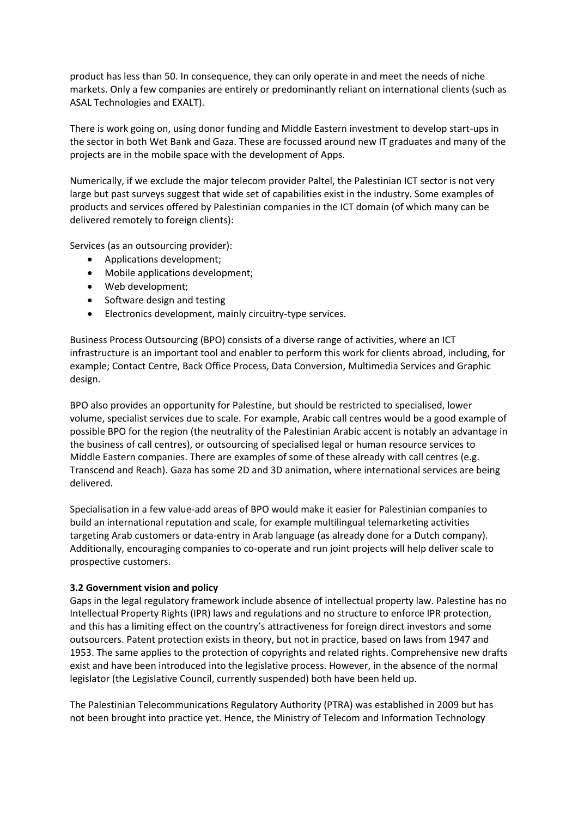product has less than 50. In consequence, they can only operate in and meet the needs of niche markets. Only a few companies are entirely or predominantly reliant on international clients (such as ASAL Technologies and EXALT).

There is work going on, using donor funding and Middle Eastern investment to develop start-ups in the sector in both Wet Bank and Gaza. These are focussed around new IT graduates and many of the projects are in the mobile space with the development of Apps.

Numerically, if we exclude the major telecom provider Paltel, the Palestinian ICT sector is not very large but past surveys suggest that wide set of capabilities exist in the industry. Some examples of products and services offered by Palestinian companies in the ICT domain (of which many can be delivered remotely to foreign clients):

Services (as an outsourcing provider):

- Applications development;
- Mobile applications development;
- Web development;
- Software design and testing
- Electronics development, mainly circuitry-type services.

Business Process Outsourcing (BPO) consists of a diverse range of activities, where an ICT infrastructure is an important tool and enabler to perform this work for clients abroad, including, for example; Contact Centre, Back Office Process, Data Conversion, Multimedia Services and Graphic design.

BPO also provides an opportunity for Palestine, but should be restricted to specialised, lower volume, specialist services due to scale. For example, Arabic call centres would be a good example of possible BPO for the region (the neutrality of the Palestinian Arabic accent is notably an advantage in the business of call centres), or outsourcing of specialised legal or human resource services to Middle Eastern companies. There are examples of some of these already with call centres (e.g. Transcend and Reach). Gaza has some 2D and 3D animation, where international services are being delivered.

Specialisation in a few value-add areas of BPO would make it easier for Palestinian companies to build an international reputation and scale, for example multilingual telemarketing activities targeting Arab customers or data-entry in Arab language (as already done for a Dutch company). Additionally, encouraging companies to co-operate and run joint projects will help deliver scale to prospective customers.

#### **3.2 Government vision and policy**

Gaps in the legal regulatory framework include absence of intellectual property law. Palestine has no Intellectual Property Rights (IPR) laws and regulations and no structure to enforce IPR protection, and this has a limiting effect on the country's attractiveness for foreign direct investors and some outsourcers. Patent protection exists in theory, but not in practice, based on laws from 1947 and 1953. The same applies to the protection of copyrights and related rights. Comprehensive new drafts exist and have been introduced into the legislative process. However, in the absence of the normal legislator (the Legislative Council, currently suspended) both have been held up.

The Palestinian Telecommunications Regulatory Authority (PTRA) was established in 2009 but has not been brought into practice yet. Hence, the Ministry of Telecom and Information Technology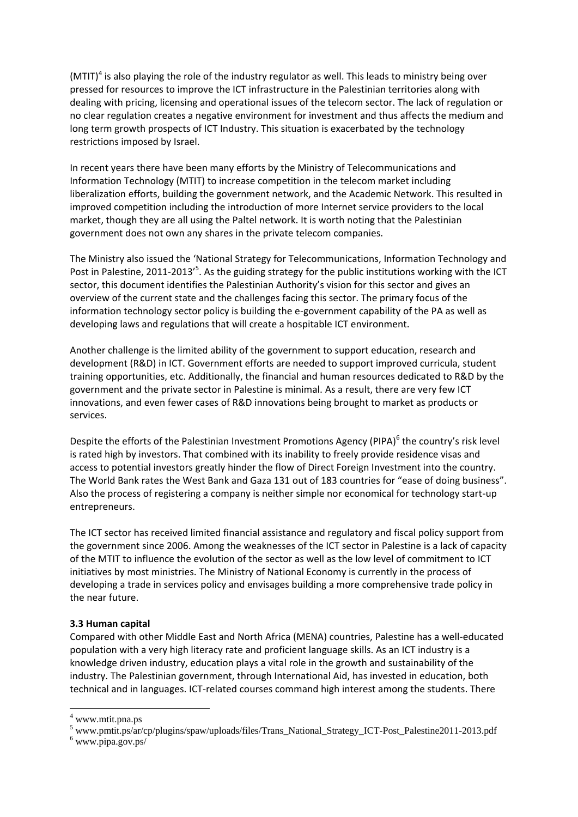$(MTIT)^4$  is also playing the role of the industry regulator as well. This leads to ministry being over pressed for resources to improve the ICT infrastructure in the Palestinian territories along with dealing with pricing, licensing and operational issues of the telecom sector. The lack of regulation or no clear regulation creates a negative environment for investment and thus affects the medium and long term growth prospects of ICT Industry. This situation is exacerbated by the technology restrictions imposed by Israel.

In recent years there have been many efforts by the Ministry of Telecommunications and Information Technology (MTIT) to increase competition in the telecom market including liberalization efforts, building the government network, and the Academic Network. This resulted in improved competition including the introduction of more Internet service providers to the local market, though they are all using the Paltel network. It is worth noting that the Palestinian government does not own any shares in the private telecom companies.

The Ministry also issued the 'National Strategy for Telecommunications, Information Technology and Post in Palestine, 2011-2013<sup>,5</sup>. As the guiding strategy for the public institutions working with the ICT sector, this document identifies the Palestinian Authority's vision for this sector and gives an overview of the current state and the challenges facing this sector. The primary focus of the information technology sector policy is building the e-government capability of the PA as well as developing laws and regulations that will create a hospitable ICT environment.

Another challenge is the limited ability of the government to support education, research and development (R&D) in ICT. Government efforts are needed to support improved curricula, student training opportunities, etc. Additionally, the financial and human resources dedicated to R&D by the government and the private sector in Palestine is minimal. As a result, there are very few ICT innovations, and even fewer cases of R&D innovations being brought to market as products or services.

Despite the efforts of the Palestinian Investment Promotions Agency (PIPA)<sup>6</sup> the country's risk level is rated high by investors. That combined with its inability to freely provide residence visas and access to potential investors greatly hinder the flow of Direct Foreign Investment into the country. The World Bank rates the West Bank and Gaza 131 out of 183 countries for "ease of doing business". Also the process of registering a company is neither simple nor economical for technology start-up entrepreneurs.

The ICT sector has received limited financial assistance and regulatory and fiscal policy support from the government since 2006. Among the weaknesses of the ICT sector in Palestine is a lack of capacity of the MTIT to influence the evolution of the sector as well as the low level of commitment to ICT initiatives by most ministries. The Ministry of National Economy is currently in the process of developing a trade in services policy and envisages building a more comprehensive trade policy in the near future.

#### **3.3 Human capital**

Compared with other Middle East and North Africa (MENA) countries, Palestine has a well-educated population with a very high literacy rate and proficient language skills. As an ICT industry is a knowledge driven industry, education plays a vital role in the growth and sustainability of the industry. The Palestinian government, through International Aid, has invested in education, both technical and in languages. ICT-related courses command high interest among the students. There

**.** 

 $4$  www.mtit.pna.ps

<sup>5</sup> www.pmtit.ps/ar/cp/plugins/spaw/uploads/files/Trans\_National\_Strategy\_ICT-Post\_Palestine2011-2013.pdf

 $6$  www.pipa.gov.ps/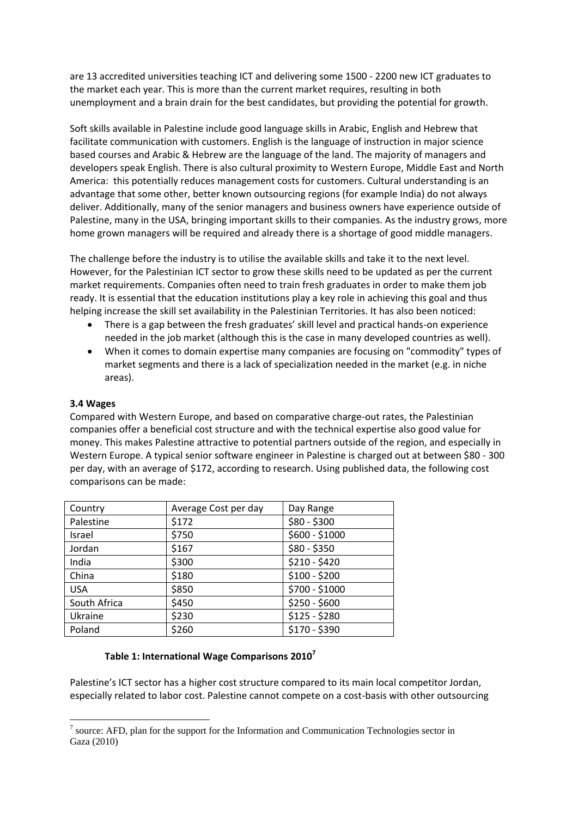are 13 accredited universities teaching ICT and delivering some 1500 - 2200 new ICT graduates to the market each year. This is more than the current market requires, resulting in both unemployment and a brain drain for the best candidates, but providing the potential for growth.

Soft skills available in Palestine include good language skills in Arabic, English and Hebrew that facilitate communication with customers. English is the language of instruction in major science based courses and Arabic & Hebrew are the language of the land. The majority of managers and developers speak English. There is also cultural proximity to Western Europe, Middle East and North America: this potentially reduces management costs for customers. Cultural understanding is an advantage that some other, better known outsourcing regions (for example India) do not always deliver. Additionally, many of the senior managers and business owners have experience outside of Palestine, many in the USA, bringing important skills to their companies. As the industry grows, more home grown managers will be required and already there is a shortage of good middle managers.

The challenge before the industry is to utilise the available skills and take it to the next level. However, for the Palestinian ICT sector to grow these skills need to be updated as per the current market requirements. Companies often need to train fresh graduates in order to make them job ready. It is essential that the education institutions play a key role in achieving this goal and thus helping increase the skill set availability in the Palestinian Territories. It has also been noticed:

- There is a gap between the fresh graduates' skill level and practical hands-on experience needed in the job market (although this is the case in many developed countries as well).
- When it comes to domain expertise many companies are focusing on "commodity" types of market segments and there is a lack of specialization needed in the market (e.g. in niche areas).

#### **3.4 Wages**

1

Compared with Western Europe, and based on comparative charge-out rates, the Palestinian companies offer a beneficial cost structure and with the technical expertise also good value for money. This makes Palestine attractive to potential partners outside of the region, and especially in Western Europe. A typical senior software engineer in Palestine is charged out at between \$80 - 300 per day, with an average of \$172, according to research. Using published data, the following cost comparisons can be made:

| Country      | Average Cost per day | Day Range      |
|--------------|----------------------|----------------|
| Palestine    | \$172                | $$80 - $300$   |
| Israel       | \$750                | \$600 - \$1000 |
| Jordan       | \$167                | $$80 - $350$   |
| India        | \$300                | $$210 - $420$  |
| China        | \$180                | $$100 - $200$  |
| <b>USA</b>   | \$850                | \$700 - \$1000 |
| South Africa | \$450                | \$250 - \$600  |
| Ukraine      | \$230                | $$125 - $280$  |
| Poland       | \$260                | $$170 - $390$  |

#### **Table 1: International Wage Comparisons 2010<sup>7</sup>**

Palestine's ICT sector has a higher cost structure compared to its main local competitor Jordan, especially related to labor cost. Palestine cannot compete on a cost-basis with other outsourcing

 $<sup>7</sup>$  source: AFD, plan for the support for the Information and Communication Technologies sector in</sup> Gaza (2010)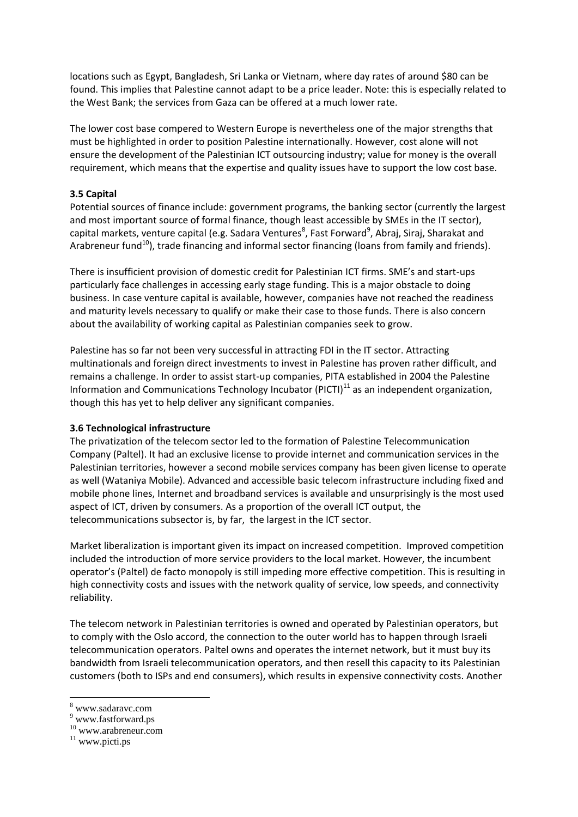locations such as Egypt, Bangladesh, Sri Lanka or Vietnam, where day rates of around \$80 can be found. This implies that Palestine cannot adapt to be a price leader. Note: this is especially related to the West Bank; the services from Gaza can be offered at a much lower rate.

The lower cost base compered to Western Europe is nevertheless one of the major strengths that must be highlighted in order to position Palestine internationally. However, cost alone will not ensure the development of the Palestinian ICT outsourcing industry; value for money is the overall requirement, which means that the expertise and quality issues have to support the low cost base.

#### **3.5 Capital**

Potential sources of finance include: government programs, the banking sector (currently the largest and most important source of formal finance, though least accessible by SMEs in the IT sector), capital markets, venture capital (e.g. Sadara Ventures<sup>8</sup>, Fast Forward<sup>9</sup>, Abraj, Siraj, Sharakat and Arabreneur fund<sup>10</sup>), trade financing and informal sector financing (loans from family and friends).

There is insufficient provision of domestic credit for Palestinian ICT firms. SME's and start-ups particularly face challenges in accessing early stage funding. This is a major obstacle to doing business. In case venture capital is available, however, companies have not reached the readiness and maturity levels necessary to qualify or make their case to those funds. There is also concern about the availability of working capital as Palestinian companies seek to grow.

Palestine has so far not been very successful in attracting FDI in the IT sector. Attracting multinationals and foreign direct investments to invest in Palestine has proven rather difficult, and remains a challenge. In order to assist start-up companies, PITA established in 2004 the Palestine Information and Communications Technology Incubator (PICTI) $^{11}$  as an independent organization, though this has yet to help deliver any significant companies.

#### **3.6 Technological infrastructure**

The privatization of the telecom sector led to the formation of Palestine Telecommunication Company (Paltel). It had an exclusive license to provide internet and communication services in the Palestinian territories, however a second mobile services company has been given license to operate as well (Wataniya Mobile). Advanced and accessible basic telecom infrastructure including fixed and mobile phone lines, Internet and broadband services is available and unsurprisingly is the most used aspect of ICT, driven by consumers. As a proportion of the overall ICT output, the telecommunications subsector is, by far, the largest in the ICT sector.

Market liberalization is important given its impact on increased competition. Improved competition included the introduction of more service providers to the local market. However, the incumbent operator's (Paltel) de facto monopoly is still impeding more effective competition. This is resulting in high connectivity costs and issues with the network quality of service, low speeds, and connectivity reliability.

The telecom network in Palestinian territories is owned and operated by Palestinian operators, but to comply with the Oslo accord, the connection to the outer world has to happen through Israeli telecommunication operators. Paltel owns and operates the internet network, but it must buy its bandwidth from Israeli telecommunication operators, and then resell this capacity to its Palestinian customers (both to ISPs and end consumers), which results in expensive connectivity costs. Another

**.** 

<sup>8</sup> www.sadaravc.com

 $^9$ www.fastforward.ps

<sup>10</sup> www.arabreneur.com

<sup>&</sup>lt;sup>11</sup> www.picti.ps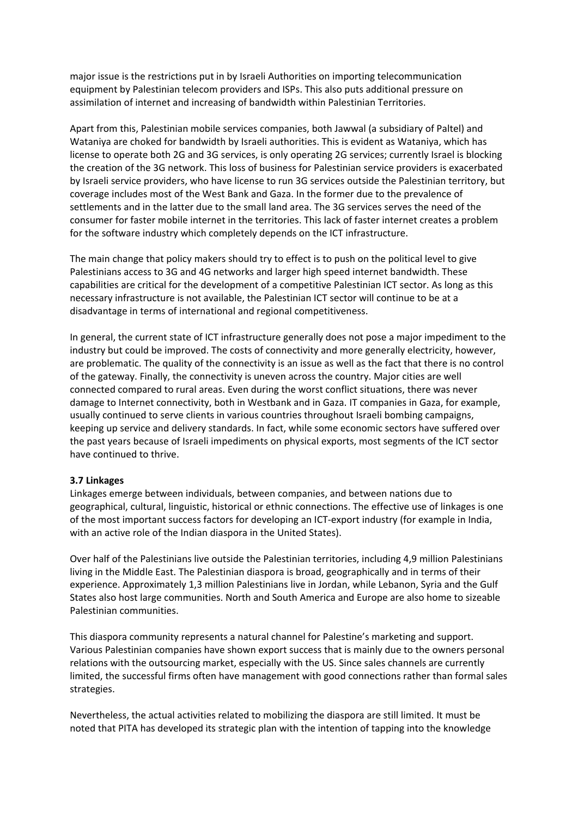major issue is the restrictions put in by Israeli Authorities on importing telecommunication equipment by Palestinian telecom providers and ISPs. This also puts additional pressure on assimilation of internet and increasing of bandwidth within Palestinian Territories.

Apart from this, Palestinian mobile services companies, both Jawwal (a subsidiary of Paltel) and Wataniya are choked for bandwidth by Israeli authorities. This is evident as Wataniya, which has license to operate both 2G and 3G services, is only operating 2G services; currently Israel is blocking the creation of the 3G network. This loss of business for Palestinian service providers is exacerbated by Israeli service providers, who have license to run 3G services outside the Palestinian territory, but coverage includes most of the West Bank and Gaza. In the former due to the prevalence of settlements and in the latter due to the small land area. The 3G services serves the need of the consumer for faster mobile internet in the territories. This lack of faster internet creates a problem for the software industry which completely depends on the ICT infrastructure.

The main change that policy makers should try to effect is to push on the political level to give Palestinians access to 3G and 4G networks and larger high speed internet bandwidth. These capabilities are critical for the development of a competitive Palestinian ICT sector. As long as this necessary infrastructure is not available, the Palestinian ICT sector will continue to be at a disadvantage in terms of international and regional competitiveness.

In general, the current state of ICT infrastructure generally does not pose a major impediment to the industry but could be improved. The costs of connectivity and more generally electricity, however, are problematic. The quality of the connectivity is an issue as well as the fact that there is no control of the gateway. Finally, the connectivity is uneven across the country. Major cities are well connected compared to rural areas. Even during the worst conflict situations, there was never damage to Internet connectivity, both in Westbank and in Gaza. IT companies in Gaza, for example, usually continued to serve clients in various countries throughout Israeli bombing campaigns, keeping up service and delivery standards. In fact, while some economic sectors have suffered over the past years because of Israeli impediments on physical exports, most segments of the ICT sector have continued to thrive.

#### **3.7 Linkages**

Linkages emerge between individuals, between companies, and between nations due to geographical, cultural, linguistic, historical or ethnic connections. The effective use of linkages is one of the most important success factors for developing an ICT-export industry (for example in India, with an active role of the Indian diaspora in the United States).

Over half of the Palestinians live outside the Palestinian territories, including 4,9 million Palestinians living in the Middle East. The Palestinian diaspora is broad, geographically and in terms of their experience. Approximately 1,3 million Palestinians live in Jordan, while Lebanon, Syria and the Gulf States also host large communities. North and South America and Europe are also home to sizeable Palestinian communities.

This diaspora community represents a natural channel for Palestine's marketing and support. Various Palestinian companies have shown export success that is mainly due to the owners personal relations with the outsourcing market, especially with the US. Since sales channels are currently limited, the successful firms often have management with good connections rather than formal sales strategies.

Nevertheless, the actual activities related to mobilizing the diaspora are still limited. It must be noted that PITA has developed its strategic plan with the intention of tapping into the knowledge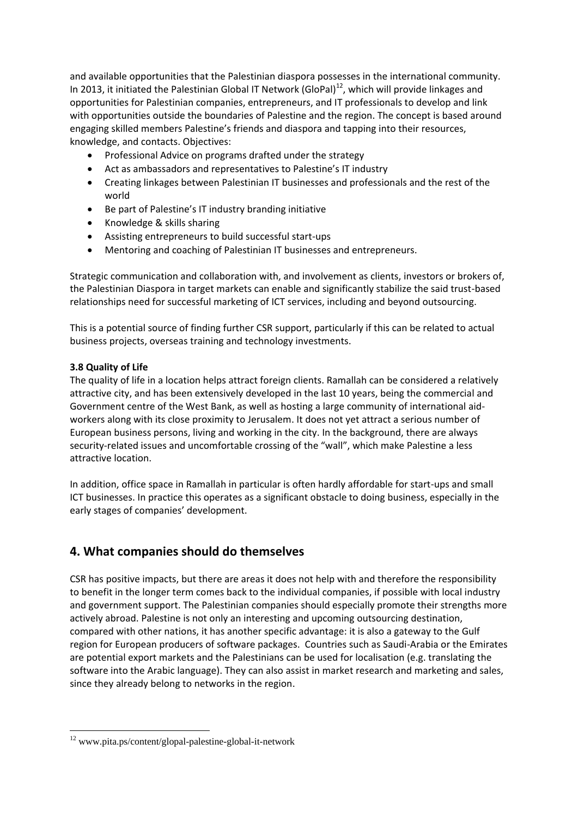and available opportunities that the Palestinian diaspora possesses in the international community. In 2013, it initiated the Palestinian Global IT Network (GloPal) $^{12}$ , which will provide linkages and opportunities for Palestinian companies, entrepreneurs, and IT professionals to develop and link with opportunities outside the boundaries of Palestine and the region. The concept is based around engaging skilled members Palestine's friends and diaspora and tapping into their resources, knowledge, and contacts. Objectives:

- Professional Advice on programs drafted under the strategy
- Act as ambassadors and representatives to Palestine's IT industry
- Creating linkages between Palestinian IT businesses and professionals and the rest of the world
- Be part of Palestine's IT industry branding initiative
- Knowledge & skills sharing
- Assisting entrepreneurs to build successful start-ups
- Mentoring and coaching of Palestinian IT businesses and entrepreneurs.

Strategic communication and collaboration with, and involvement as clients, investors or brokers of, the Palestinian Diaspora in target markets can enable and significantly stabilize the said trust-based relationships need for successful marketing of ICT services, including and beyond outsourcing.

This is a potential source of finding further CSR support, particularly if this can be related to actual business projects, overseas training and technology investments.

#### **3.8 Quality of Life**

**.** 

The quality of life in a location helps attract foreign clients. Ramallah can be considered a relatively attractive city, and has been extensively developed in the last 10 years, being the commercial and Government centre of the West Bank, as well as hosting a large community of international aidworkers along with its close proximity to Jerusalem. It does not yet attract a serious number of European business persons, living and working in the city. In the background, there are always security-related issues and uncomfortable crossing of the "wall", which make Palestine a less attractive location.

In addition, office space in Ramallah in particular is often hardly affordable for start-ups and small ICT businesses. In practice this operates as a significant obstacle to doing business, especially in the early stages of companies' development.

## **4. What companies should do themselves**

CSR has positive impacts, but there are areas it does not help with and therefore the responsibility to benefit in the longer term comes back to the individual companies, if possible with local industry and government support. The Palestinian companies should especially promote their strengths more actively abroad. Palestine is not only an interesting and upcoming outsourcing destination, compared with other nations, it has another specific advantage: it is also a gateway to the Gulf region for European producers of software packages. Countries such as Saudi-Arabia or the Emirates are potential export markets and the Palestinians can be used for localisation (e.g. translating the software into the Arabic language). They can also assist in market research and marketing and sales, since they already belong to networks in the region.

<sup>12</sup> www.pita.ps/content/glopal-palestine-global-it-network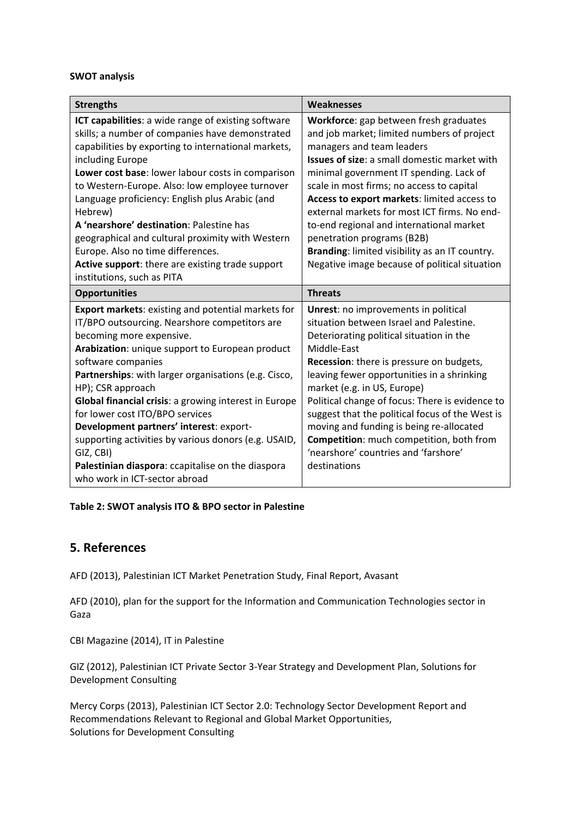#### **SWOT analysis**

| <b>Strengths</b>                                                                                                                                                                                                                                                                                                                                                                                                                                                                                                                                                                               | <b>Weaknesses</b>                                                                                                                                                                                                                                                                                                                                                                                                                                                                                                                            |
|------------------------------------------------------------------------------------------------------------------------------------------------------------------------------------------------------------------------------------------------------------------------------------------------------------------------------------------------------------------------------------------------------------------------------------------------------------------------------------------------------------------------------------------------------------------------------------------------|----------------------------------------------------------------------------------------------------------------------------------------------------------------------------------------------------------------------------------------------------------------------------------------------------------------------------------------------------------------------------------------------------------------------------------------------------------------------------------------------------------------------------------------------|
| ICT capabilities: a wide range of existing software<br>skills; a number of companies have demonstrated<br>capabilities by exporting to international markets,<br>including Europe<br>Lower cost base: lower labour costs in comparison<br>to Western-Europe. Also: low employee turnover<br>Language proficiency: English plus Arabic (and<br>Hebrew)<br>A 'nearshore' destination: Palestine has<br>geographical and cultural proximity with Western<br>Europe. Also no time differences.<br>Active support: there are existing trade support<br>institutions, such as PITA                   | Workforce: gap between fresh graduates<br>and job market; limited numbers of project<br>managers and team leaders<br><b>Issues of size:</b> a small domestic market with<br>minimal government IT spending. Lack of<br>scale in most firms; no access to capital<br>Access to export markets: limited access to<br>external markets for most ICT firms. No end-<br>to-end regional and international market<br>penetration programs (B2B)<br>Branding: limited visibility as an IT country.<br>Negative image because of political situation |
| <b>Opportunities</b>                                                                                                                                                                                                                                                                                                                                                                                                                                                                                                                                                                           | <b>Threats</b>                                                                                                                                                                                                                                                                                                                                                                                                                                                                                                                               |
| <b>Export markets: existing and potential markets for</b><br>IT/BPO outsourcing. Nearshore competitors are<br>becoming more expensive.<br>Arabization: unique support to European product<br>software companies<br>Partnerships: with larger organisations (e.g. Cisco,<br>HP); CSR approach<br>Global financial crisis: a growing interest in Europe<br>for lower cost ITO/BPO services<br>Development partners' interest: export-<br>supporting activities by various donors (e.g. USAID,<br>GIZ, CBI)<br>Palestinian diaspora: ccapitalise on the diaspora<br>who work in ICT-sector abroad | <b>Unrest:</b> no improvements in political<br>situation between Israel and Palestine.<br>Deteriorating political situation in the<br>Middle-East<br><b>Recession:</b> there is pressure on budgets,<br>leaving fewer opportunities in a shrinking<br>market (e.g. in US, Europe)<br>Political change of focus: There is evidence to<br>suggest that the political focus of the West is<br>moving and funding is being re-allocated<br>Competition: much competition, both from<br>'nearshore' countries and 'farshore'<br>destinations      |

#### **Table 2: SWOT analysis ITO & BPO sector in Palestine**

#### **5. References**

AFD (2013), Palestinian ICT Market Penetration Study, Final Report, Avasant

AFD (2010), plan for the support for the Information and Communication Technologies sector in Gaza

CBI Magazine (2014), IT in Palestine

GIZ (2012), Palestinian ICT Private Sector 3-Year Strategy and Development Plan, Solutions for Development Consulting

Mercy Corps (2013), Palestinian ICT Sector 2.0: Technology Sector Development Report and Recommendations Relevant to Regional and Global Market Opportunities, Solutions for Development Consulting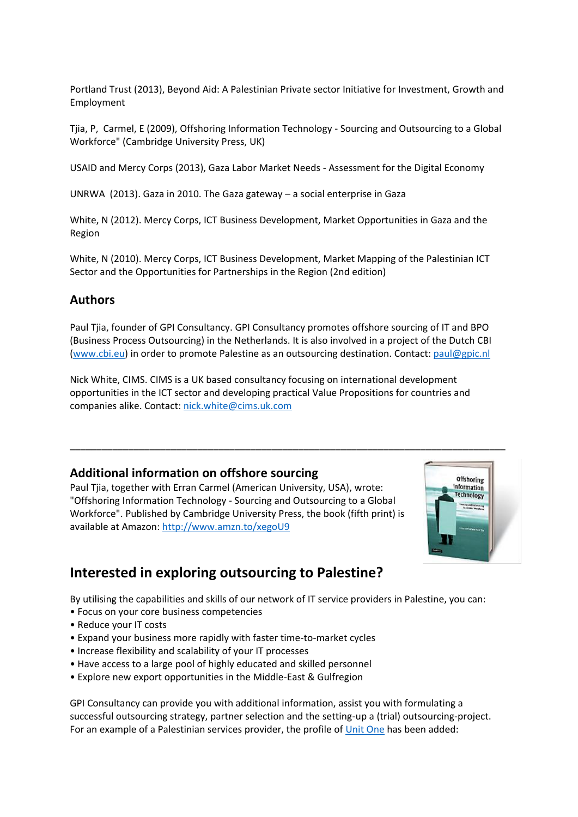Portland Trust (2013), Beyond Aid: A Palestinian Private sector Initiative for Investment, Growth and Employment

Tjia, P, Carmel, E (2009), Offshoring Information Technology - Sourcing and Outsourcing to a Global Workforce" (Cambridge University Press, UK)

USAID and Mercy Corps (2013), Gaza Labor Market Needs - Assessment for the Digital Economy

UNRWA (2013). Gaza in 2010. The Gaza gateway – a social enterprise in Gaza

White, N (2012). Mercy Corps, ICT Business Development, Market Opportunities in Gaza and the Region

White, N (2010). Mercy Corps, ICT Business Development, Market Mapping of the Palestinian ICT Sector and the Opportunities for Partnerships in the Region (2nd edition)

#### **Authors**

Paul Tjia, founder of GPI Consultancy. GPI Consultancy promotes offshore sourcing of IT and BPO (Business Process Outsourcing) in the Netherlands. It is also involved in a project of the Dutch CBI [\(www.cbi.eu\)](http://www.cbi.eu/) in order to promote Palestine as an outsourcing destination. Contact[: paul@gpic.nl](mailto:paul@gpic.nl)

Nick White, CIMS. CIMS is a UK based consultancy focusing on international development opportunities in the ICT sector and developing practical Value Propositions for countries and companies alike. Contact: [nick.white@cims.uk.com](mailto:nick.white@cims.uk.com)

#### **Additional information on offshore sourcing**

Paul Tjia, together with Erran Carmel (American University, USA), wrote: "Offshoring Information Technology - Sourcing and Outsourcing to a Global Workforce". Published by Cambridge University Press, the book (fifth print) is available at Amazon: <http://www.amzn.to/xegoU9>



## **Interested in exploring outsourcing to Palestine?**

By utilising the capabilities and skills of our network of IT service providers in Palestine, you can:

- Focus on your core business competencies
- Reduce your IT costs
- Expand your business more rapidly with faster time-to-market cycles
- Increase flexibility and scalability of your IT processes
- Have access to a large pool of highly educated and skilled personnel
- Explore new export opportunities in the Middle-East & Gulfregion

GPI Consultancy can provide you with additional information, assist you with formulating a successful outsourcing strategy, partner selection and the setting-up a (trial) outsourcing-project. For an example of a Palestinian services provider, the profile of [Unit One](http://www.unitone.co/) has been added: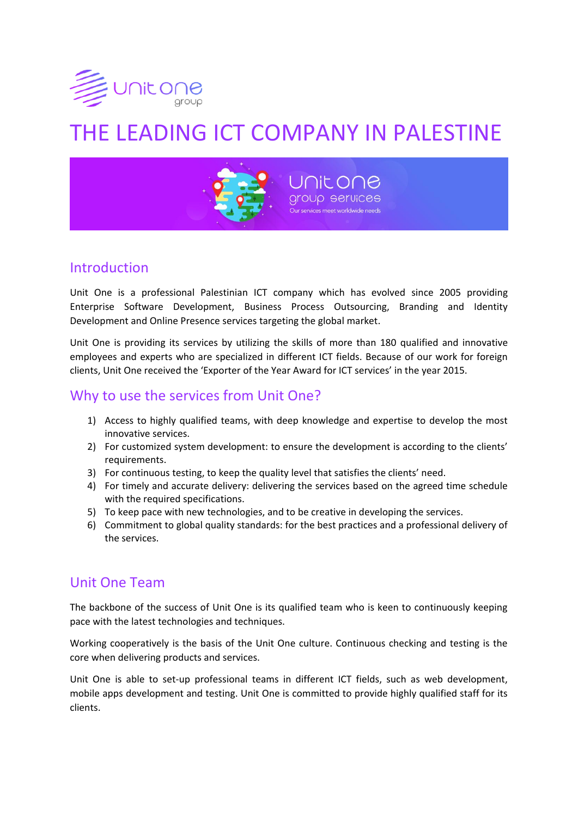

# THE LEADING ICT COMPANY IN PALESTINE



# Introduction

Unit One is a professional Palestinian ICT company which has evolved since 2005 providing Enterprise Software Development, Business Process Outsourcing, Branding and Identity Development and Online Presence services targeting the global market.

Unit One is providing its services by utilizing the skills of more than 180 qualified and innovative employees and experts who are specialized in different ICT fields. Because of our work for foreign clients, Unit One received the 'Exporter of the Year Award for ICT services' in the year 2015.

# Why to use the services from Unit One?

- 1) Access to highly qualified teams, with deep knowledge and expertise to develop the most innovative services.
- 2) For customized system development: to ensure the development is according to the clients' requirements.
- 3) For continuous testing, to keep the quality level that satisfies the clients' need.
- 4) For timely and accurate delivery: delivering the services based on the agreed time schedule with the required specifications.
- 5) To keep pace with new technologies, and to be creative in developing the services.
- 6) Commitment to global quality standards: for the best practices and a professional delivery of the services.

# Unit One Team

The backbone of the success of Unit One is its qualified team who is keen to continuously keeping pace with the latest technologies and techniques.

Working cooperatively is the basis of the Unit One culture. Continuous checking and testing is the core when delivering products and services.

Unit One is able to set-up professional teams in different ICT fields, such as web development, mobile apps development and testing. Unit One is committed to provide highly qualified staff for its clients.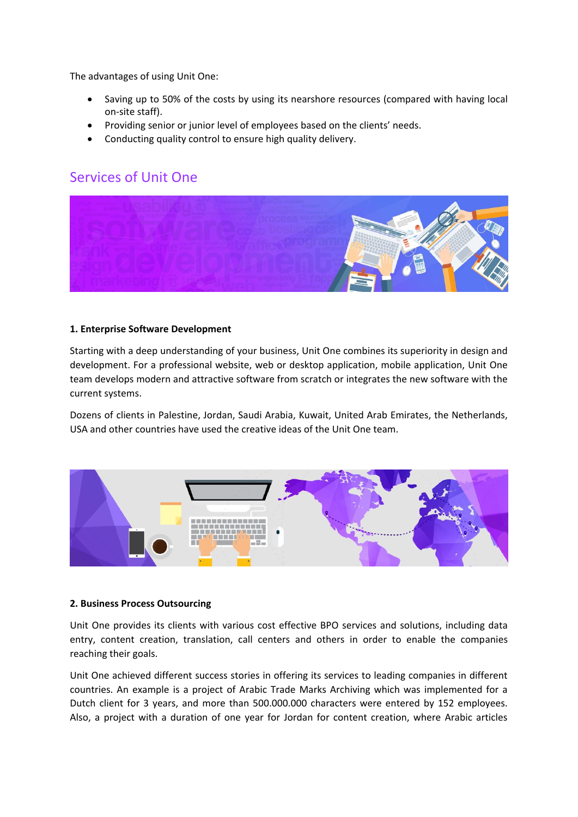The advantages of using Unit One:

- Saving up to 50% of the costs by using its nearshore resources (compared with having local on-site staff).
- Providing senior or junior level of employees based on the clients' needs.
- Conducting quality control to ensure high quality delivery.

# Services of Unit One



#### **1. Enterprise Software Development**

Starting with a deep understanding of your business, Unit One combines its superiority in design and development. For a professional website, web or desktop application, mobile application, Unit One team develops modern and attractive software from scratch or integrates the new software with the current systems.

Dozens of clients in Palestine, Jordan, Saudi Arabia, Kuwait, United Arab Emirates, the Netherlands, USA and other countries have used the creative ideas of the Unit One team.



#### **2. Business Process Outsourcing**

Unit One provides its clients with various cost effective BPO services and solutions, including data entry, content creation, translation, call centers and others in order to enable the companies reaching their goals.

Unit One achieved different success stories in offering its services to leading companies in different countries. An example is a project of Arabic Trade Marks Archiving which was implemented for a Dutch client for 3 years, and more than 500.000.000 characters were entered by 152 employees. Also, a project with a duration of one year for Jordan for content creation, where Arabic articles